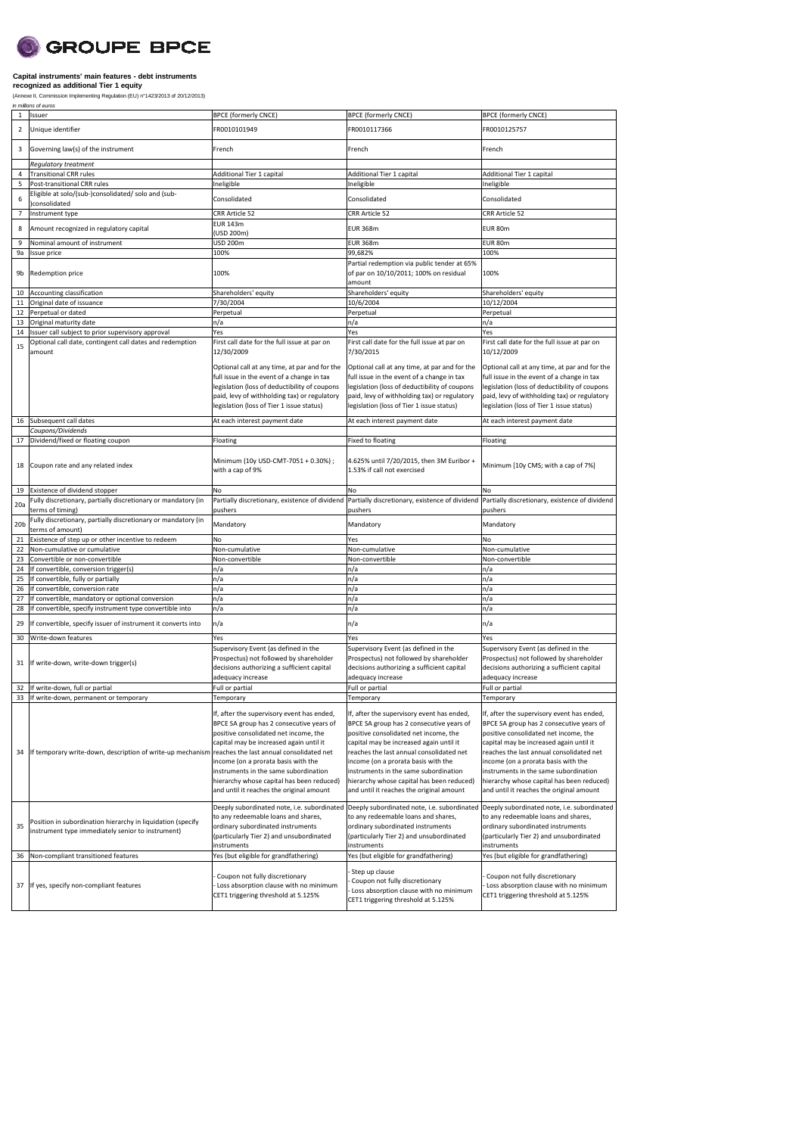## **SCROUPE BPCE**

### **Capital instruments' main features - debt instruments recognized as additional Tier 1 equity**

|                 | (Annexe II, Commission Implementing Regulation (EU) n°1423/2013 of 20/12/2013)<br>in millions of euros           |                                                                                                                                                                                                                                                                                                                                                                                                              |                                                                                                                                                                                                                                                                                                                                                                                                              |                                                                                                                                                                                                                                                                                                                                                                                                              |  |  |
|-----------------|------------------------------------------------------------------------------------------------------------------|--------------------------------------------------------------------------------------------------------------------------------------------------------------------------------------------------------------------------------------------------------------------------------------------------------------------------------------------------------------------------------------------------------------|--------------------------------------------------------------------------------------------------------------------------------------------------------------------------------------------------------------------------------------------------------------------------------------------------------------------------------------------------------------------------------------------------------------|--------------------------------------------------------------------------------------------------------------------------------------------------------------------------------------------------------------------------------------------------------------------------------------------------------------------------------------------------------------------------------------------------------------|--|--|
| $\mathbf{1}$    | Issuer                                                                                                           | <b>BPCE (formerly CNCE)</b>                                                                                                                                                                                                                                                                                                                                                                                  | <b>BPCE (formerly CNCE)</b>                                                                                                                                                                                                                                                                                                                                                                                  | <b>BPCE (formerly CNCE)</b>                                                                                                                                                                                                                                                                                                                                                                                  |  |  |
| $\overline{2}$  | Unique identifier                                                                                                | FR0010101949                                                                                                                                                                                                                                                                                                                                                                                                 | FR0010117366                                                                                                                                                                                                                                                                                                                                                                                                 | FR0010125757                                                                                                                                                                                                                                                                                                                                                                                                 |  |  |
| 3               | Governing law(s) of the instrument                                                                               | French                                                                                                                                                                                                                                                                                                                                                                                                       | French                                                                                                                                                                                                                                                                                                                                                                                                       | French                                                                                                                                                                                                                                                                                                                                                                                                       |  |  |
|                 | <b>Requlatory treatment</b>                                                                                      |                                                                                                                                                                                                                                                                                                                                                                                                              |                                                                                                                                                                                                                                                                                                                                                                                                              |                                                                                                                                                                                                                                                                                                                                                                                                              |  |  |
| 4               | <b>Transitional CRR rules</b>                                                                                    | Additional Tier 1 capital                                                                                                                                                                                                                                                                                                                                                                                    | Additional Tier 1 capital                                                                                                                                                                                                                                                                                                                                                                                    | Additional Tier 1 capital                                                                                                                                                                                                                                                                                                                                                                                    |  |  |
| 5               | Post-transitional CRR rules                                                                                      | Ineligible                                                                                                                                                                                                                                                                                                                                                                                                   | Ineligible                                                                                                                                                                                                                                                                                                                                                                                                   | Ineligible                                                                                                                                                                                                                                                                                                                                                                                                   |  |  |
| 6               | Eligible at solo/(sub-)consolidated/ solo and (sub-                                                              | Consolidated                                                                                                                                                                                                                                                                                                                                                                                                 | Consolidated                                                                                                                                                                                                                                                                                                                                                                                                 | Consolidated                                                                                                                                                                                                                                                                                                                                                                                                 |  |  |
| $\overline{7}$  | consolidated<br>Instrument type                                                                                  | CRR Article 52                                                                                                                                                                                                                                                                                                                                                                                               | CRR Article 52                                                                                                                                                                                                                                                                                                                                                                                               | CRR Article 52                                                                                                                                                                                                                                                                                                                                                                                               |  |  |
|                 |                                                                                                                  | <b>EUR 143m</b>                                                                                                                                                                                                                                                                                                                                                                                              |                                                                                                                                                                                                                                                                                                                                                                                                              |                                                                                                                                                                                                                                                                                                                                                                                                              |  |  |
| 8               | Amount recognized in regulatory capital                                                                          | (USD 200m)                                                                                                                                                                                                                                                                                                                                                                                                   | <b>EUR 368m</b>                                                                                                                                                                                                                                                                                                                                                                                              | EUR 80m                                                                                                                                                                                                                                                                                                                                                                                                      |  |  |
| 9               | Nominal amount of instrument                                                                                     | USD 200m                                                                                                                                                                                                                                                                                                                                                                                                     | <b>EUR 368m</b>                                                                                                                                                                                                                                                                                                                                                                                              | EUR 80m                                                                                                                                                                                                                                                                                                                                                                                                      |  |  |
| 9a              | Issue price                                                                                                      | 100%                                                                                                                                                                                                                                                                                                                                                                                                         | 99,682%                                                                                                                                                                                                                                                                                                                                                                                                      | 100%                                                                                                                                                                                                                                                                                                                                                                                                         |  |  |
| 9b              | Redemption price                                                                                                 | 100%                                                                                                                                                                                                                                                                                                                                                                                                         | Partial redemption via public tender at 65%<br>of par on 10/10/2011; 100% on residual<br>amount                                                                                                                                                                                                                                                                                                              | 100%                                                                                                                                                                                                                                                                                                                                                                                                         |  |  |
| 10              | Accounting classification                                                                                        | Shareholders' equity                                                                                                                                                                                                                                                                                                                                                                                         | Shareholders' equity                                                                                                                                                                                                                                                                                                                                                                                         | Shareholders' equity                                                                                                                                                                                                                                                                                                                                                                                         |  |  |
| 11              | Original date of issuance                                                                                        | 7/30/2004                                                                                                                                                                                                                                                                                                                                                                                                    | 10/6/2004                                                                                                                                                                                                                                                                                                                                                                                                    | 10/12/2004                                                                                                                                                                                                                                                                                                                                                                                                   |  |  |
| 12              | Perpetual or dated                                                                                               | Perpetual                                                                                                                                                                                                                                                                                                                                                                                                    | Perpetual                                                                                                                                                                                                                                                                                                                                                                                                    | Perpetual                                                                                                                                                                                                                                                                                                                                                                                                    |  |  |
| 13              | Original maturity date                                                                                           | n/a                                                                                                                                                                                                                                                                                                                                                                                                          | n/a                                                                                                                                                                                                                                                                                                                                                                                                          | n/a                                                                                                                                                                                                                                                                                                                                                                                                          |  |  |
| 14              | Issuer call subject to prior supervisory approval                                                                | Yes                                                                                                                                                                                                                                                                                                                                                                                                          | Yes                                                                                                                                                                                                                                                                                                                                                                                                          | Yes                                                                                                                                                                                                                                                                                                                                                                                                          |  |  |
| 15              | Optional call date, contingent call dates and redemption<br>amount                                               | First call date for the full issue at par on<br>12/30/2009                                                                                                                                                                                                                                                                                                                                                   | First call date for the full issue at par on<br>7/30/2015                                                                                                                                                                                                                                                                                                                                                    | First call date for the full issue at par on<br>10/12/2009                                                                                                                                                                                                                                                                                                                                                   |  |  |
|                 |                                                                                                                  | Optional call at any time, at par and for the<br>full issue in the event of a change in tax<br>legislation (loss of deductibility of coupons<br>paid, levy of withholding tax) or regulatory<br>legislation (loss of Tier 1 issue status)                                                                                                                                                                    | Optional call at any time, at par and for the<br>full issue in the event of a change in tax<br>legislation (loss of deductibility of coupons<br>paid, levy of withholding tax) or regulatory<br>legislation (loss of Tier 1 issue status)                                                                                                                                                                    | Optional call at any time, at par and for the<br>full issue in the event of a change in tax<br>legislation (loss of deductibility of coupons<br>paid, levy of withholding tax) or regulatory<br>legislation (loss of Tier 1 issue status)                                                                                                                                                                    |  |  |
| 16              | Subsequent call dates                                                                                            | At each interest payment date                                                                                                                                                                                                                                                                                                                                                                                | At each interest payment date                                                                                                                                                                                                                                                                                                                                                                                | At each interest payment date                                                                                                                                                                                                                                                                                                                                                                                |  |  |
|                 | Coupons/Dividends                                                                                                |                                                                                                                                                                                                                                                                                                                                                                                                              |                                                                                                                                                                                                                                                                                                                                                                                                              |                                                                                                                                                                                                                                                                                                                                                                                                              |  |  |
| 17              | Dividend/fixed or floating coupon                                                                                | Floating                                                                                                                                                                                                                                                                                                                                                                                                     | Fixed to floating                                                                                                                                                                                                                                                                                                                                                                                            | Floating                                                                                                                                                                                                                                                                                                                                                                                                     |  |  |
| 18              | Coupon rate and any related index                                                                                | Minimum (10y USD-CMT-7051 + 0.30%) ;<br>with a cap of 9%                                                                                                                                                                                                                                                                                                                                                     | 4.625% until 7/20/2015, then 3M Euribor +<br>1.53% if call not exercised                                                                                                                                                                                                                                                                                                                                     | Minimum [10y CMS; with a cap of 7%]                                                                                                                                                                                                                                                                                                                                                                          |  |  |
| 19              | Existence of dividend stopper                                                                                    | No                                                                                                                                                                                                                                                                                                                                                                                                           | No                                                                                                                                                                                                                                                                                                                                                                                                           | No                                                                                                                                                                                                                                                                                                                                                                                                           |  |  |
| 20a             | Fully discretionary, partially discretionary or mandatory (in                                                    |                                                                                                                                                                                                                                                                                                                                                                                                              | Partially discretionary, existence of dividend Partially discretionary, existence of dividend                                                                                                                                                                                                                                                                                                                | Partially discretionary, existence of dividend                                                                                                                                                                                                                                                                                                                                                               |  |  |
| 20 <sub>b</sub> | terms of timing)<br>Fully discretionary, partially discretionary or mandatory (in                                | pushers<br>Mandatory                                                                                                                                                                                                                                                                                                                                                                                         | pushers<br>Mandatory                                                                                                                                                                                                                                                                                                                                                                                         | pushers<br>Mandatory                                                                                                                                                                                                                                                                                                                                                                                         |  |  |
|                 | terms of amount)                                                                                                 |                                                                                                                                                                                                                                                                                                                                                                                                              |                                                                                                                                                                                                                                                                                                                                                                                                              | No                                                                                                                                                                                                                                                                                                                                                                                                           |  |  |
| 21<br>22        | Existence of step up or other incentive to redeem<br>Non-cumulative or cumulative                                | No<br>Non-cumulative                                                                                                                                                                                                                                                                                                                                                                                         | Yes<br>Non-cumulative                                                                                                                                                                                                                                                                                                                                                                                        | Non-cumulative                                                                                                                                                                                                                                                                                                                                                                                               |  |  |
| 23              | Convertible or non-convertible                                                                                   | Non-convertible                                                                                                                                                                                                                                                                                                                                                                                              | Non-convertible                                                                                                                                                                                                                                                                                                                                                                                              | Non-convertible                                                                                                                                                                                                                                                                                                                                                                                              |  |  |
| 24              | If convertible, conversion trigger(s)                                                                            | n/a                                                                                                                                                                                                                                                                                                                                                                                                          | n/a                                                                                                                                                                                                                                                                                                                                                                                                          | n/a                                                                                                                                                                                                                                                                                                                                                                                                          |  |  |
| 25              | If convertible, fully or partially                                                                               | n/a                                                                                                                                                                                                                                                                                                                                                                                                          | n/a                                                                                                                                                                                                                                                                                                                                                                                                          | n/a                                                                                                                                                                                                                                                                                                                                                                                                          |  |  |
| 26              | If convertible, conversion rate                                                                                  | n/a                                                                                                                                                                                                                                                                                                                                                                                                          | n/a                                                                                                                                                                                                                                                                                                                                                                                                          | n/a                                                                                                                                                                                                                                                                                                                                                                                                          |  |  |
| 27              | If convertible, mandatory or optional conversion                                                                 | n/a                                                                                                                                                                                                                                                                                                                                                                                                          | n/a                                                                                                                                                                                                                                                                                                                                                                                                          | n/a                                                                                                                                                                                                                                                                                                                                                                                                          |  |  |
| 28              | If convertible, specify instrument type convertible into                                                         | n/a                                                                                                                                                                                                                                                                                                                                                                                                          | n/a                                                                                                                                                                                                                                                                                                                                                                                                          | n/a                                                                                                                                                                                                                                                                                                                                                                                                          |  |  |
| 29              | If convertible, specify issuer of instrument it converts into                                                    | n/a                                                                                                                                                                                                                                                                                                                                                                                                          | n/a                                                                                                                                                                                                                                                                                                                                                                                                          | n/a                                                                                                                                                                                                                                                                                                                                                                                                          |  |  |
| 30              | Write-down features                                                                                              | Yes                                                                                                                                                                                                                                                                                                                                                                                                          | Yes                                                                                                                                                                                                                                                                                                                                                                                                          | Yes                                                                                                                                                                                                                                                                                                                                                                                                          |  |  |
| 31              | If write-down, write-down trigger(s)                                                                             | Supervisory Event (as defined in the<br>Prospectus) not followed by shareholder<br>decisions authorizing a sufficient capital<br>adequacy increase                                                                                                                                                                                                                                                           | Supervisory Event (as defined in the<br>Prospectus) not followed by shareholder<br>decisions authorizing a sufficient capital<br>adequacy increase                                                                                                                                                                                                                                                           | Supervisory Event (as defined in the<br>Prospectus) not followed by shareholder<br>decisions authorizing a sufficient capital<br>adequacy increase                                                                                                                                                                                                                                                           |  |  |
| 32              | If write-down, full or partial                                                                                   | Full or partial                                                                                                                                                                                                                                                                                                                                                                                              | Full or partial                                                                                                                                                                                                                                                                                                                                                                                              | Full or partial                                                                                                                                                                                                                                                                                                                                                                                              |  |  |
| 34              | 33 If write-down, permanent or temporary<br>If temporary write-down, description of write-up mechanism           | Temporary<br>If, after the supervisory event has ended,<br>BPCE SA group has 2 consecutive years of<br>positive consolidated net income, the<br>capital may be increased again until it<br>reaches the last annual consolidated net<br>income (on a prorata basis with the<br>instruments in the same subordination<br>hierarchy whose capital has been reduced)<br>and until it reaches the original amount | Temporary<br>If, after the supervisory event has ended,<br>BPCE SA group has 2 consecutive years of<br>positive consolidated net income, the<br>capital may be increased again until it<br>reaches the last annual consolidated net<br>income (on a prorata basis with the<br>instruments in the same subordination<br>hierarchy whose capital has been reduced)<br>and until it reaches the original amount | Temporary<br>If, after the supervisory event has ended,<br>BPCE SA group has 2 consecutive years of<br>positive consolidated net income, the<br>capital may be increased again until it<br>reaches the last annual consolidated net<br>income (on a prorata basis with the<br>instruments in the same subordination<br>hierarchy whose capital has been reduced)<br>and until it reaches the original amount |  |  |
| 35              | Position in subordination hierarchy in liquidation (specify<br>instrument type immediately senior to instrument) | Deeply subordinated note, i.e. subordinated Deeply subordinated note, i.e. subordinated<br>to any redeemable loans and shares,<br>ordinary subordinated instruments<br>(particularly Tier 2) and unsubordinated<br>instruments                                                                                                                                                                               | to any redeemable loans and shares,<br>ordinary subordinated instruments<br>(particularly Tier 2) and unsubordinated<br>instruments                                                                                                                                                                                                                                                                          | Deeply subordinated note, i.e. subordinated<br>to any redeemable loans and shares,<br>ordinary subordinated instruments<br>(particularly Tier 2) and unsubordinated<br>instruments                                                                                                                                                                                                                           |  |  |
| 36              | Non-compliant transitioned features                                                                              | Yes (but eligible for grandfathering)                                                                                                                                                                                                                                                                                                                                                                        | Yes (but eligible for grandfathering)                                                                                                                                                                                                                                                                                                                                                                        | Yes (but eligible for grandfathering)                                                                                                                                                                                                                                                                                                                                                                        |  |  |
| 37              | If yes, specify non-compliant features                                                                           | Coupon not fully discretionary<br>Loss absorption clause with no minimum<br>CET1 triggering threshold at 5.125%                                                                                                                                                                                                                                                                                              | Step up clause<br>Coupon not fully discretionary<br>Loss absorption clause with no minimum                                                                                                                                                                                                                                                                                                                   | Coupon not fully discretionary<br>Loss absorption clause with no minimum<br>CET1 triggering threshold at 5.125%                                                                                                                                                                                                                                                                                              |  |  |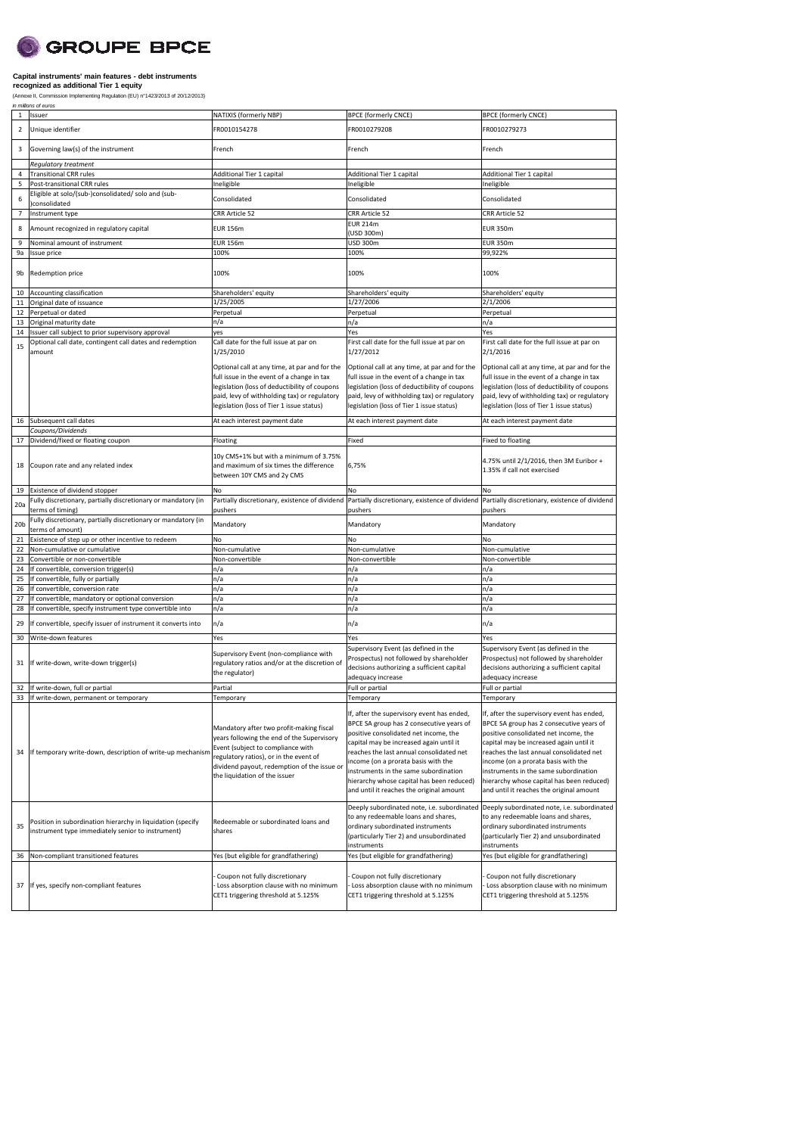# **SCROUPE BPCE**

#### **Capital instruments' main features - debt instruments recognized as additional Tier 1 equity**

(Annexe II, Commission Implementing Regulation (EU) n°1423/2013 of 20/12/2013)<br>*in millions of euros* 

| $\mathbf{1}$    | Issuer                                                                                                           | NATIXIS (formerly NBP)                                                                                                                                                                                                                                             | <b>BPCE (formerly CNCE)</b>                                                                                                                                                                                                                                                                                                                                                                                  | <b>BPCE (formerly CNCE)</b>                                                                                                                                                                                                                                                                                                                                                                                  |
|-----------------|------------------------------------------------------------------------------------------------------------------|--------------------------------------------------------------------------------------------------------------------------------------------------------------------------------------------------------------------------------------------------------------------|--------------------------------------------------------------------------------------------------------------------------------------------------------------------------------------------------------------------------------------------------------------------------------------------------------------------------------------------------------------------------------------------------------------|--------------------------------------------------------------------------------------------------------------------------------------------------------------------------------------------------------------------------------------------------------------------------------------------------------------------------------------------------------------------------------------------------------------|
| 2               | Unique identifier                                                                                                | FR0010154278                                                                                                                                                                                                                                                       | FR0010279208                                                                                                                                                                                                                                                                                                                                                                                                 | FR0010279273                                                                                                                                                                                                                                                                                                                                                                                                 |
| 3               | Governing law(s) of the instrument                                                                               | French                                                                                                                                                                                                                                                             | French                                                                                                                                                                                                                                                                                                                                                                                                       | French                                                                                                                                                                                                                                                                                                                                                                                                       |
| $\sqrt{4}$      | Regulatory treatment<br><b>Transitional CRR rules</b>                                                            | Additional Tier 1 capital                                                                                                                                                                                                                                          | Additional Tier 1 capital                                                                                                                                                                                                                                                                                                                                                                                    | Additional Tier 1 capital                                                                                                                                                                                                                                                                                                                                                                                    |
| 5               | Post-transitional CRR rules                                                                                      | Ineligible                                                                                                                                                                                                                                                         | Ineligible                                                                                                                                                                                                                                                                                                                                                                                                   | Ineligible                                                                                                                                                                                                                                                                                                                                                                                                   |
| 6               | Eligible at solo/(sub-)consolidated/ solo and (sub-<br>consolidated                                              | Consolidated                                                                                                                                                                                                                                                       | Consolidated                                                                                                                                                                                                                                                                                                                                                                                                 | Consolidated                                                                                                                                                                                                                                                                                                                                                                                                 |
|                 |                                                                                                                  |                                                                                                                                                                                                                                                                    |                                                                                                                                                                                                                                                                                                                                                                                                              |                                                                                                                                                                                                                                                                                                                                                                                                              |
| $\overline{7}$  | Instrument type                                                                                                  | CRR Article 52                                                                                                                                                                                                                                                     | CRR Article 52<br><b>EUR 214m</b>                                                                                                                                                                                                                                                                                                                                                                            | CRR Article 52                                                                                                                                                                                                                                                                                                                                                                                               |
| 8               | Amount recognized in regulatory capital                                                                          | <b>EUR 156m</b>                                                                                                                                                                                                                                                    | (USD 300m)                                                                                                                                                                                                                                                                                                                                                                                                   | <b>EUR 350m</b>                                                                                                                                                                                                                                                                                                                                                                                              |
| 9               | Nominal amount of instrument                                                                                     | <b>EUR 156m</b>                                                                                                                                                                                                                                                    | <b>USD 300m</b>                                                                                                                                                                                                                                                                                                                                                                                              | <b>EUR 350m</b>                                                                                                                                                                                                                                                                                                                                                                                              |
| 9a<br>9b        | Issue price<br>Redemption price                                                                                  | 100%<br>100%                                                                                                                                                                                                                                                       | 100%<br>100%                                                                                                                                                                                                                                                                                                                                                                                                 | 99,922%<br>100%                                                                                                                                                                                                                                                                                                                                                                                              |
| 10              | Accounting classification                                                                                        | Shareholders' equity                                                                                                                                                                                                                                               | Shareholders' equity                                                                                                                                                                                                                                                                                                                                                                                         | Shareholders' equity                                                                                                                                                                                                                                                                                                                                                                                         |
| 11              | Original date of issuance                                                                                        | 1/25/2005                                                                                                                                                                                                                                                          | 1/27/2006                                                                                                                                                                                                                                                                                                                                                                                                    | 2/1/2006                                                                                                                                                                                                                                                                                                                                                                                                     |
| 12              | Perpetual or dated                                                                                               | Perpetual                                                                                                                                                                                                                                                          | Perpetual                                                                                                                                                                                                                                                                                                                                                                                                    | Perpetual                                                                                                                                                                                                                                                                                                                                                                                                    |
| 13              | Original maturity date                                                                                           | n/a                                                                                                                                                                                                                                                                | n/a                                                                                                                                                                                                                                                                                                                                                                                                          | n/a                                                                                                                                                                                                                                                                                                                                                                                                          |
| 14              | Issuer call subject to prior supervisory approval                                                                | yes                                                                                                                                                                                                                                                                | Yes                                                                                                                                                                                                                                                                                                                                                                                                          | Yes                                                                                                                                                                                                                                                                                                                                                                                                          |
| 15              | Optional call date, contingent call dates and redemption<br>amount                                               | Call date for the full issue at par on<br>1/25/2010                                                                                                                                                                                                                | First call date for the full issue at par on<br>1/27/2012                                                                                                                                                                                                                                                                                                                                                    | First call date for the full issue at par on<br>2/1/2016                                                                                                                                                                                                                                                                                                                                                     |
|                 |                                                                                                                  | Optional call at any time, at par and for the<br>full issue in the event of a change in tax<br>legislation (loss of deductibility of coupons<br>paid, levy of withholding tax) or regulatory<br>legislation (loss of Tier 1 issue status)                          | Optional call at any time, at par and for the<br>full issue in the event of a change in tax<br>legislation (loss of deductibility of coupons<br>paid, levy of withholding tax) or regulatory<br>legislation (loss of Tier 1 issue status)                                                                                                                                                                    | Optional call at any time, at par and for the<br>full issue in the event of a change in tax<br>legislation (loss of deductibility of coupons<br>paid, levy of withholding tax) or regulatory<br>legislation (loss of Tier 1 issue status)                                                                                                                                                                    |
| 16              | Subsequent call dates                                                                                            | At each interest payment date                                                                                                                                                                                                                                      | At each interest payment date                                                                                                                                                                                                                                                                                                                                                                                | At each interest payment date                                                                                                                                                                                                                                                                                                                                                                                |
|                 | Coupons/Dividends                                                                                                |                                                                                                                                                                                                                                                                    |                                                                                                                                                                                                                                                                                                                                                                                                              |                                                                                                                                                                                                                                                                                                                                                                                                              |
| 17<br>18        | Dividend/fixed or floating coupon<br>Coupon rate and any related index                                           | Floating<br>10y CMS+1% but with a minimum of 3.75%<br>and maximum of six times the difference<br>between 10Y CMS and 2y CMS                                                                                                                                        | Fixed<br>6,75%                                                                                                                                                                                                                                                                                                                                                                                               | Fixed to floating<br>4.75% until 2/1/2016, then 3M Euribor +<br>1.35% if call not exercised                                                                                                                                                                                                                                                                                                                  |
|                 |                                                                                                                  |                                                                                                                                                                                                                                                                    |                                                                                                                                                                                                                                                                                                                                                                                                              |                                                                                                                                                                                                                                                                                                                                                                                                              |
| 19              | Existence of dividend stopper                                                                                    | No                                                                                                                                                                                                                                                                 | No                                                                                                                                                                                                                                                                                                                                                                                                           | No                                                                                                                                                                                                                                                                                                                                                                                                           |
| 20a             | Fully discretionary, partially discretionary or mandatory (in<br>terms of timing)                                | pushers                                                                                                                                                                                                                                                            | Partially discretionary, existence of dividend Partially discretionary, existence of dividend Partially discretionary, existence of dividend<br>pushers                                                                                                                                                                                                                                                      | pushers                                                                                                                                                                                                                                                                                                                                                                                                      |
| 20 <sub>b</sub> | Fully discretionary, partially discretionary or mandatory (in<br>terms of amount)                                | Mandatory                                                                                                                                                                                                                                                          | Mandatory                                                                                                                                                                                                                                                                                                                                                                                                    | Mandatory                                                                                                                                                                                                                                                                                                                                                                                                    |
| 21              | Existence of step up or other incentive to redeem                                                                | No                                                                                                                                                                                                                                                                 | No                                                                                                                                                                                                                                                                                                                                                                                                           | No                                                                                                                                                                                                                                                                                                                                                                                                           |
| 22              | Non-cumulative or cumulative                                                                                     | Non-cumulative                                                                                                                                                                                                                                                     | Non-cumulative                                                                                                                                                                                                                                                                                                                                                                                               | Non-cumulative                                                                                                                                                                                                                                                                                                                                                                                               |
| 23              | Convertible or non-convertible                                                                                   | Non-convertible                                                                                                                                                                                                                                                    | Non-convertible                                                                                                                                                                                                                                                                                                                                                                                              | Non-convertible                                                                                                                                                                                                                                                                                                                                                                                              |
| 24              | If convertible, conversion trigger(s)                                                                            | n/a                                                                                                                                                                                                                                                                | n/a                                                                                                                                                                                                                                                                                                                                                                                                          | n/a                                                                                                                                                                                                                                                                                                                                                                                                          |
| 25              | If convertible, fully or partially                                                                               | n/a                                                                                                                                                                                                                                                                | n/a                                                                                                                                                                                                                                                                                                                                                                                                          | n/a                                                                                                                                                                                                                                                                                                                                                                                                          |
| 26              | If convertible, conversion rate                                                                                  | n/a                                                                                                                                                                                                                                                                | n/a                                                                                                                                                                                                                                                                                                                                                                                                          | n/a                                                                                                                                                                                                                                                                                                                                                                                                          |
| 27              | If convertible, mandatory or optional conversion                                                                 | n/a                                                                                                                                                                                                                                                                | n/a                                                                                                                                                                                                                                                                                                                                                                                                          | n/a                                                                                                                                                                                                                                                                                                                                                                                                          |
| 28              | If convertible, specify instrument type convertible into                                                         | n/a                                                                                                                                                                                                                                                                | n/a                                                                                                                                                                                                                                                                                                                                                                                                          | n/a                                                                                                                                                                                                                                                                                                                                                                                                          |
| 29              | If convertible, specify issuer of instrument it converts into                                                    | n/a                                                                                                                                                                                                                                                                | n/a                                                                                                                                                                                                                                                                                                                                                                                                          | n/a                                                                                                                                                                                                                                                                                                                                                                                                          |
| 30              | Write-down features                                                                                              | Yes                                                                                                                                                                                                                                                                | Yes                                                                                                                                                                                                                                                                                                                                                                                                          | Yes                                                                                                                                                                                                                                                                                                                                                                                                          |
| 31              | If write-down, write-down trigger(s)                                                                             | Supervisory Event (non-compliance with<br>regulatory ratios and/or at the discretion of<br>the regulator)                                                                                                                                                          | Supervisory Event (as defined in the<br>Prospectus) not followed by shareholder<br>decisions authorizing a sufficient capital<br>adequacy increase                                                                                                                                                                                                                                                           | Supervisory Event (as defined in the<br>Prospectus) not followed by shareholder<br>decisions authorizing a sufficient capital<br>adequacy increase                                                                                                                                                                                                                                                           |
| 32              | If write-down, full or partial                                                                                   | Partial                                                                                                                                                                                                                                                            | Full or partial                                                                                                                                                                                                                                                                                                                                                                                              | Full or partial                                                                                                                                                                                                                                                                                                                                                                                              |
| 34              | 33 If write-down, permanent or temporary<br>If temporary write-down, description of write-up mechanism           | Temporary<br>Mandatory after two profit-making fiscal<br>years following the end of the Supervisory<br>Event (subject to compliance with<br>regulatory ratios), or in the event of<br>dividend payout, redemption of the issue or<br>the liquidation of the issuer | Temporary<br>If, after the supervisory event has ended,<br>BPCE SA group has 2 consecutive years of<br>positive consolidated net income, the<br>capital may be increased again until it<br>reaches the last annual consolidated net<br>income (on a prorata basis with the<br>instruments in the same subordination<br>hierarchy whose capital has been reduced)<br>and until it reaches the original amount | Temporary<br>If, after the supervisory event has ended,<br>BPCE SA group has 2 consecutive years of<br>positive consolidated net income, the<br>capital may be increased again until it<br>reaches the last annual consolidated net<br>income (on a prorata basis with the<br>instruments in the same subordination<br>hierarchy whose capital has been reduced)<br>and until it reaches the original amount |
| 35              | Position in subordination hierarchy in liquidation (specify<br>instrument type immediately senior to instrument) | Redeemable or subordinated loans and<br>shares                                                                                                                                                                                                                     | Deeply subordinated note, i.e. subordinated<br>to any redeemable loans and shares,<br>ordinary subordinated instruments<br>(particularly Tier 2) and unsubordinated<br>instruments                                                                                                                                                                                                                           | Deeply subordinated note, i.e. subordinated<br>to any redeemable loans and shares,<br>ordinary subordinated instruments<br>(particularly Tier 2) and unsubordinated<br>instruments                                                                                                                                                                                                                           |
| 36              | Non-compliant transitioned features                                                                              | Yes (but eligible for grandfathering)                                                                                                                                                                                                                              | Yes (but eligible for grandfathering)                                                                                                                                                                                                                                                                                                                                                                        | Yes (but eligible for grandfathering)                                                                                                                                                                                                                                                                                                                                                                        |
| 37              | If yes, specify non-compliant features                                                                           | Coupon not fully discretionary<br>Loss absorption clause with no minimum<br>CET1 triggering threshold at 5.125%                                                                                                                                                    | Coupon not fully discretionary<br>Loss absorption clause with no minimum<br>CET1 triggering threshold at 5.125%                                                                                                                                                                                                                                                                                              | Coupon not fully discretionary<br>Loss absorption clause with no minimum<br>CET1 triggering threshold at 5.125%                                                                                                                                                                                                                                                                                              |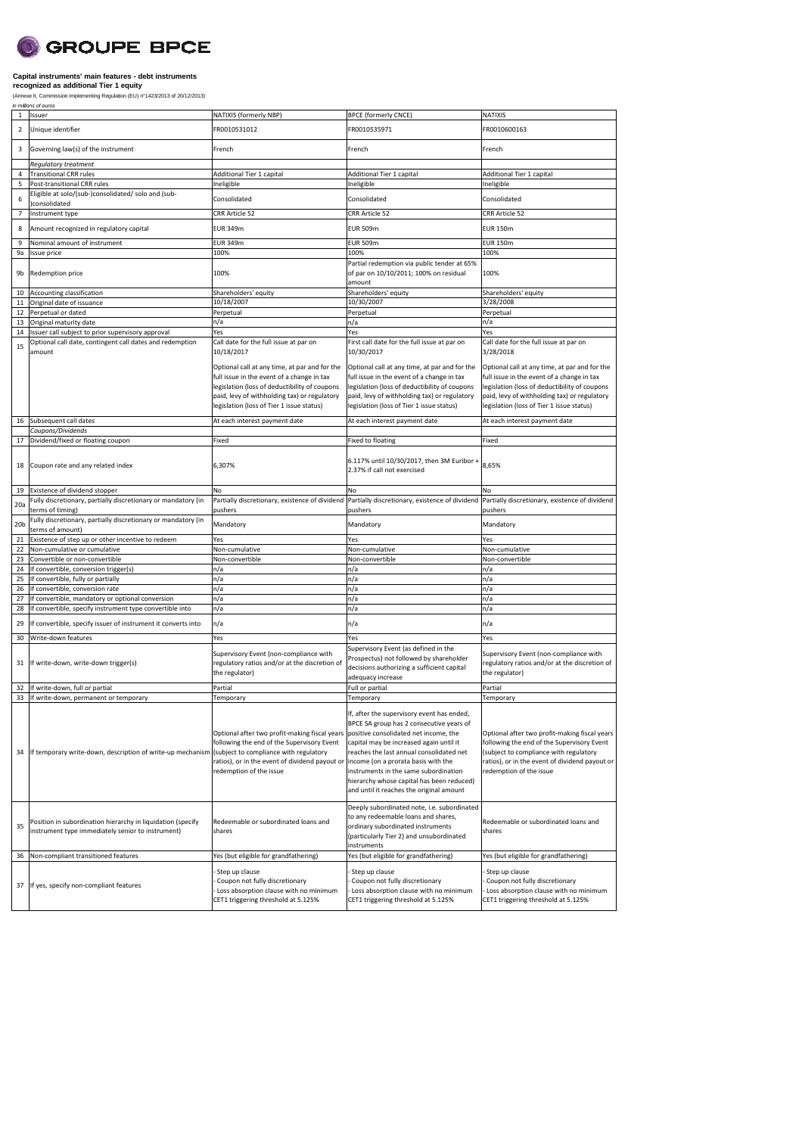# **O** GROUPE BPCE

### **Capital instruments' main features - debt instruments recognized as additional Tier 1 equity**

|                        | (Annexe II, Commission Implementing Regulation (EU) n°1423/2013 of 20/12/2013)<br>in millions of euros                                        |                                                                                                                                                                                                                                           |                                                                                                                                                                                                                                                                                                                                                                       |                                                                                                                                                                                                                                           |  |  |
|------------------------|-----------------------------------------------------------------------------------------------------------------------------------------------|-------------------------------------------------------------------------------------------------------------------------------------------------------------------------------------------------------------------------------------------|-----------------------------------------------------------------------------------------------------------------------------------------------------------------------------------------------------------------------------------------------------------------------------------------------------------------------------------------------------------------------|-------------------------------------------------------------------------------------------------------------------------------------------------------------------------------------------------------------------------------------------|--|--|
| $\mathbf{1}$           | Issuer                                                                                                                                        | NATIXIS (formerly NBP)                                                                                                                                                                                                                    | <b>BPCE (formerly CNCE)</b>                                                                                                                                                                                                                                                                                                                                           | NATIXIS                                                                                                                                                                                                                                   |  |  |
| $\overline{2}$         | Unique identifier                                                                                                                             | FR0010531012                                                                                                                                                                                                                              | FR0010535971                                                                                                                                                                                                                                                                                                                                                          | FR0010600163                                                                                                                                                                                                                              |  |  |
| 3                      | Governing law(s) of the instrument                                                                                                            | French                                                                                                                                                                                                                                    | French                                                                                                                                                                                                                                                                                                                                                                | French                                                                                                                                                                                                                                    |  |  |
|                        | <b>Requlatory treatment</b>                                                                                                                   |                                                                                                                                                                                                                                           |                                                                                                                                                                                                                                                                                                                                                                       |                                                                                                                                                                                                                                           |  |  |
| 4                      | <b>Transitional CRR rules</b>                                                                                                                 | Additional Tier 1 capital                                                                                                                                                                                                                 | Additional Tier 1 capital                                                                                                                                                                                                                                                                                                                                             | Additional Tier 1 capital                                                                                                                                                                                                                 |  |  |
| 5                      | Post-transitional CRR rules                                                                                                                   | Ineligible                                                                                                                                                                                                                                | Ineligible                                                                                                                                                                                                                                                                                                                                                            | Ineligible                                                                                                                                                                                                                                |  |  |
| 6                      | Eligible at solo/(sub-)consolidated/ solo and (sub-<br>consolidated                                                                           | Consolidated                                                                                                                                                                                                                              | Consolidated                                                                                                                                                                                                                                                                                                                                                          | Consolidated                                                                                                                                                                                                                              |  |  |
| $\overline{7}$         | Instrument type                                                                                                                               | CRR Article 52                                                                                                                                                                                                                            | CRR Article 52                                                                                                                                                                                                                                                                                                                                                        | CRR Article 52                                                                                                                                                                                                                            |  |  |
| 8                      | Amount recognized in regulatory capital                                                                                                       | <b>EUR 349m</b>                                                                                                                                                                                                                           | <b>EUR 509m</b>                                                                                                                                                                                                                                                                                                                                                       | <b>EUR 150m</b>                                                                                                                                                                                                                           |  |  |
| 9                      | Nominal amount of instrument                                                                                                                  | <b>EUR 349m</b>                                                                                                                                                                                                                           | <b>EUR 509m</b>                                                                                                                                                                                                                                                                                                                                                       | <b>EUR 150m</b>                                                                                                                                                                                                                           |  |  |
| 9a                     | Issue price                                                                                                                                   | 100%                                                                                                                                                                                                                                      | 100%                                                                                                                                                                                                                                                                                                                                                                  | 100%                                                                                                                                                                                                                                      |  |  |
| 9b                     | Redemption price                                                                                                                              | 100%                                                                                                                                                                                                                                      | Partial redemption via public tender at 65%<br>of par on 10/10/2011; 100% on residual<br>amount                                                                                                                                                                                                                                                                       | 100%                                                                                                                                                                                                                                      |  |  |
| 10                     | Accounting classification                                                                                                                     | Shareholders' equity                                                                                                                                                                                                                      | Shareholders' equity                                                                                                                                                                                                                                                                                                                                                  | Shareholders' equity                                                                                                                                                                                                                      |  |  |
| 11                     | Original date of issuance                                                                                                                     | 10/18/2007                                                                                                                                                                                                                                | 10/30/2007                                                                                                                                                                                                                                                                                                                                                            | 3/28/2008                                                                                                                                                                                                                                 |  |  |
| 12                     | Perpetual or dated                                                                                                                            | Perpetual                                                                                                                                                                                                                                 | Perpetual                                                                                                                                                                                                                                                                                                                                                             | Perpetual                                                                                                                                                                                                                                 |  |  |
| 13                     | Original maturity date                                                                                                                        | n/a                                                                                                                                                                                                                                       | n/a                                                                                                                                                                                                                                                                                                                                                                   | n/a                                                                                                                                                                                                                                       |  |  |
| 14                     | Issuer call subject to prior supervisory approval                                                                                             | Yes                                                                                                                                                                                                                                       | Yes                                                                                                                                                                                                                                                                                                                                                                   | Yes                                                                                                                                                                                                                                       |  |  |
| 15                     | Optional call date, contingent call dates and redemption<br>amount                                                                            | Call date for the full issue at par on<br>10/18/2017                                                                                                                                                                                      | First call date for the full issue at par on<br>10/30/2017                                                                                                                                                                                                                                                                                                            | Call date for the full issue at par on<br>3/28/2018                                                                                                                                                                                       |  |  |
|                        |                                                                                                                                               | Optional call at any time, at par and for the<br>full issue in the event of a change in tax<br>legislation (loss of deductibility of coupons<br>paid, levy of withholding tax) or regulatory<br>legislation (loss of Tier 1 issue status) | Optional call at any time, at par and for the<br>full issue in the event of a change in tax<br>legislation (loss of deductibility of coupons<br>paid, levy of withholding tax) or regulatory<br>legislation (loss of Tier 1 issue status)                                                                                                                             | Optional call at any time, at par and for the<br>full issue in the event of a change in tax<br>legislation (loss of deductibility of coupons<br>paid, levy of withholding tax) or regulatory<br>legislation (loss of Tier 1 issue status) |  |  |
| 16                     | Subsequent call dates                                                                                                                         | At each interest payment date                                                                                                                                                                                                             | At each interest payment date                                                                                                                                                                                                                                                                                                                                         | At each interest payment date                                                                                                                                                                                                             |  |  |
|                        | Coupons/Dividends                                                                                                                             |                                                                                                                                                                                                                                           |                                                                                                                                                                                                                                                                                                                                                                       |                                                                                                                                                                                                                                           |  |  |
| 17                     | Dividend/fixed or floating coupon                                                                                                             | Fixed                                                                                                                                                                                                                                     | Fixed to floating                                                                                                                                                                                                                                                                                                                                                     | Fixed                                                                                                                                                                                                                                     |  |  |
| 18                     | Coupon rate and any related index                                                                                                             | 6,307%                                                                                                                                                                                                                                    | 6.117% until 10/30/2017, then 3M Euribor +<br>2.37% if call not exercised                                                                                                                                                                                                                                                                                             | 8,65%                                                                                                                                                                                                                                     |  |  |
| 19                     | Existence of dividend stopper                                                                                                                 | No                                                                                                                                                                                                                                        | No                                                                                                                                                                                                                                                                                                                                                                    | No                                                                                                                                                                                                                                        |  |  |
|                        | Fully discretionary, partially discretionary or mandatory (in                                                                                 |                                                                                                                                                                                                                                           | Partially discretionary, existence of dividend Partially discretionary, existence of dividend                                                                                                                                                                                                                                                                         | Partially discretionary, existence of dividend                                                                                                                                                                                            |  |  |
| 20a<br>20 <sub>b</sub> | terms of timing)<br>Fully discretionary, partially discretionary or mandatory (in                                                             | pushers<br>Mandatory                                                                                                                                                                                                                      | pushers<br>Mandatory                                                                                                                                                                                                                                                                                                                                                  | pushers<br>Mandatory                                                                                                                                                                                                                      |  |  |
|                        | terms of amount)                                                                                                                              |                                                                                                                                                                                                                                           |                                                                                                                                                                                                                                                                                                                                                                       |                                                                                                                                                                                                                                           |  |  |
| 21                     | Existence of step up or other incentive to redeem                                                                                             | Yes                                                                                                                                                                                                                                       | Yes                                                                                                                                                                                                                                                                                                                                                                   | Yes                                                                                                                                                                                                                                       |  |  |
| 22<br>23               | Non-cumulative or cumulative<br>Convertible or non-convertible                                                                                | Non-cumulative<br>Non-convertible                                                                                                                                                                                                         | Non-cumulative<br>Non-convertible                                                                                                                                                                                                                                                                                                                                     | Non-cumulative<br>Non-convertible                                                                                                                                                                                                         |  |  |
| 24                     | If convertible, conversion trigger(s)                                                                                                         | n/a                                                                                                                                                                                                                                       | n/a                                                                                                                                                                                                                                                                                                                                                                   | n/a                                                                                                                                                                                                                                       |  |  |
| 25                     | If convertible, fully or partially                                                                                                            | n/a                                                                                                                                                                                                                                       | n/a                                                                                                                                                                                                                                                                                                                                                                   | n/a                                                                                                                                                                                                                                       |  |  |
| 26                     | If convertible, conversion rate                                                                                                               | n/a                                                                                                                                                                                                                                       | n/a                                                                                                                                                                                                                                                                                                                                                                   | n/a                                                                                                                                                                                                                                       |  |  |
| 27                     | If convertible, mandatory or optional conversion                                                                                              | n/a                                                                                                                                                                                                                                       | n/a                                                                                                                                                                                                                                                                                                                                                                   | n/a                                                                                                                                                                                                                                       |  |  |
| 28                     | If convertible, specify instrument type convertible into                                                                                      | n/a                                                                                                                                                                                                                                       | n/a                                                                                                                                                                                                                                                                                                                                                                   | n/a                                                                                                                                                                                                                                       |  |  |
| 29                     | If convertible, specify issuer of instrument it converts into                                                                                 | n/a                                                                                                                                                                                                                                       | n/a                                                                                                                                                                                                                                                                                                                                                                   | n/a                                                                                                                                                                                                                                       |  |  |
| 30                     | Write-down features                                                                                                                           | Yes                                                                                                                                                                                                                                       | Yes                                                                                                                                                                                                                                                                                                                                                                   | Yes                                                                                                                                                                                                                                       |  |  |
| 31                     | If write-down, write-down trigger(s)                                                                                                          | Supervisory Event (non-compliance with<br>regulatory ratios and/or at the discretion of<br>the regulator)                                                                                                                                 | Supervisory Event (as defined in the<br>Prospectus) not followed by shareholder<br>decisions authorizing a sufficient capital<br>adequacy increase                                                                                                                                                                                                                    | Supervisory Event (non-compliance with<br>regulatory ratios and/or at the discretion of<br>the regulator)                                                                                                                                 |  |  |
| 32                     | If write-down, full or partial                                                                                                                | Partial                                                                                                                                                                                                                                   | Full or partial                                                                                                                                                                                                                                                                                                                                                       | Partial                                                                                                                                                                                                                                   |  |  |
| 34                     | 33 If write-down, permanent or temporary<br>If temporary write-down, description of write-up mechanism (subject to compliance with regulatory | Temporary<br>Optional after two profit-making fiscal years<br>following the end of the Supervisory Event<br>ratios), or in the event of dividend payout or income (on a prorata basis with the<br>redemption of the issue                 | Temporary<br>If, after the supervisory event has ended,<br>BPCE SA group has 2 consecutive years of<br>positive consolidated net income, the<br>capital may be increased again until it<br>reaches the last annual consolidated net<br>instruments in the same subordination<br>hierarchy whose capital has been reduced)<br>and until it reaches the original amount | Temporary<br>Optional after two profit-making fiscal years<br>following the end of the Supervisory Event<br>(subject to compliance with regulatory<br>ratios), or in the event of dividend payout or<br>redemption of the issue           |  |  |
| 35                     | Position in subordination hierarchy in liquidation (specify<br>instrument type immediately senior to instrument)                              | Redeemable or subordinated loans and<br>shares                                                                                                                                                                                            | Deeply subordinated note, i.e. subordinated<br>to any redeemable loans and shares,<br>Redeemable or subordinated loans and<br>ordinary subordinated instruments<br>shares<br>(particularly Tier 2) and unsubordinated<br>instruments                                                                                                                                  |                                                                                                                                                                                                                                           |  |  |
| 36                     | Non-compliant transitioned features                                                                                                           | Yes (but eligible for grandfathering)                                                                                                                                                                                                     | Yes (but eligible for grandfathering)                                                                                                                                                                                                                                                                                                                                 | Yes (but eligible for grandfathering)                                                                                                                                                                                                     |  |  |
| 37                     | If yes, specify non-compliant features                                                                                                        | Step up clause<br>Coupon not fully discretionary<br>Loss absorption clause with no minimum<br>CET1 triggering threshold at 5.125%                                                                                                         | Step up clause<br>Coupon not fully discretionary<br>Loss absorption clause with no minimum<br>CET1 triggering threshold at 5.125%                                                                                                                                                                                                                                     | Step up clause<br>Coupon not fully discretionary<br>Loss absorption clause with no minimum<br>CET1 triggering threshold at 5.125%                                                                                                         |  |  |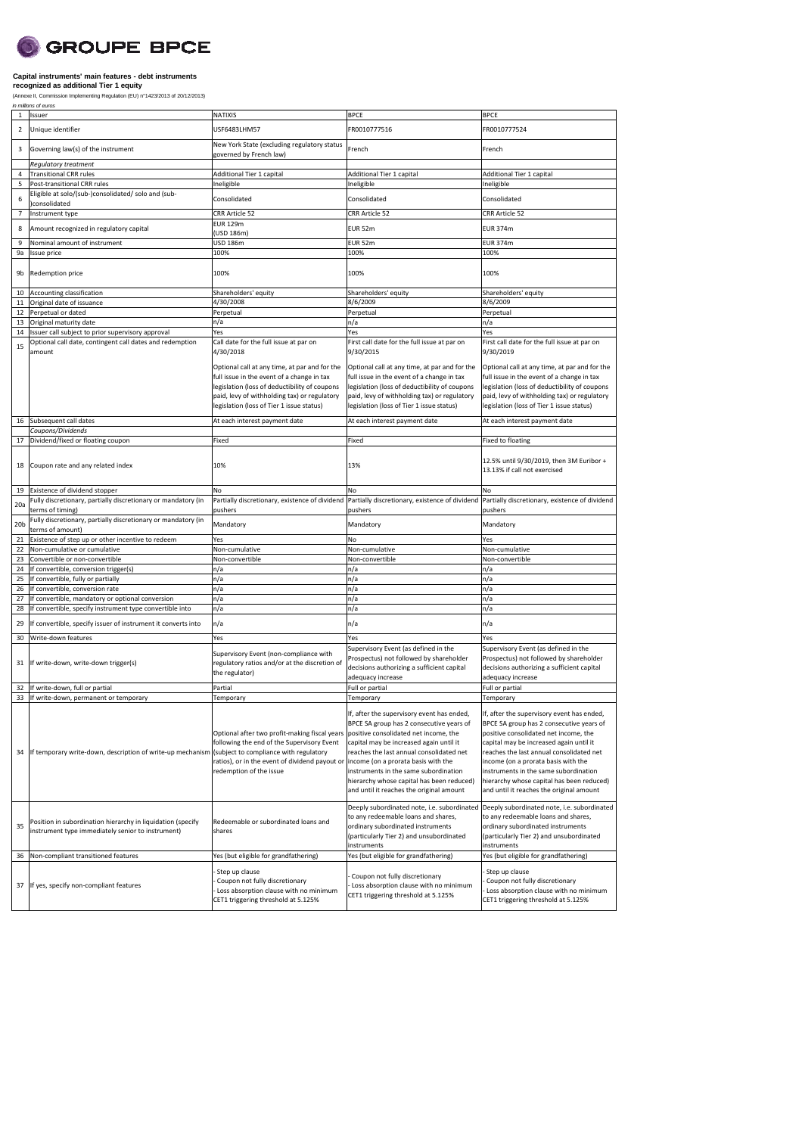# **SCROUPE BPCE**

#### **Capital instruments' main features - debt instruments recognized as additional Tier 1 equity**

(Annexe II, Commission Implementing Regulation (EU) n°1423/2013 of 20/12/2013)<br>*in millions of euros* 

| 1               | Issuer                                                                                                           | <b>NATIXIS</b>                                                                                                                                                                                                                            | <b>BPCE</b>                                                                                                                                                                                                                                                                                                                                                                                     | <b>BPCE</b>                                                                                                                                                                                                                                                                                                                                                                                    |
|-----------------|------------------------------------------------------------------------------------------------------------------|-------------------------------------------------------------------------------------------------------------------------------------------------------------------------------------------------------------------------------------------|-------------------------------------------------------------------------------------------------------------------------------------------------------------------------------------------------------------------------------------------------------------------------------------------------------------------------------------------------------------------------------------------------|------------------------------------------------------------------------------------------------------------------------------------------------------------------------------------------------------------------------------------------------------------------------------------------------------------------------------------------------------------------------------------------------|
| $\overline{2}$  | Unique identifier                                                                                                | USF6483LHM57                                                                                                                                                                                                                              | FR0010777516                                                                                                                                                                                                                                                                                                                                                                                    | FR0010777524                                                                                                                                                                                                                                                                                                                                                                                   |
| 3               | Governing law(s) of the instrument                                                                               | New York State (excluding regulatory status<br>governed by French law)                                                                                                                                                                    | French                                                                                                                                                                                                                                                                                                                                                                                          | French                                                                                                                                                                                                                                                                                                                                                                                         |
|                 | Regulatory treatment                                                                                             |                                                                                                                                                                                                                                           |                                                                                                                                                                                                                                                                                                                                                                                                 |                                                                                                                                                                                                                                                                                                                                                                                                |
| 4               | <b>Transitional CRR rules</b>                                                                                    | Additional Tier 1 capital                                                                                                                                                                                                                 | Additional Tier 1 capital                                                                                                                                                                                                                                                                                                                                                                       | Additional Tier 1 capital                                                                                                                                                                                                                                                                                                                                                                      |
| 5               | Post-transitional CRR rules<br>Eligible at solo/(sub-)consolidated/ solo and (sub-                               | Ineligible                                                                                                                                                                                                                                | Ineligible                                                                                                                                                                                                                                                                                                                                                                                      | Ineligible                                                                                                                                                                                                                                                                                                                                                                                     |
| 6               | consolidated                                                                                                     | Consolidated                                                                                                                                                                                                                              | Consolidated                                                                                                                                                                                                                                                                                                                                                                                    | Consolidated                                                                                                                                                                                                                                                                                                                                                                                   |
| 7               | Instrument type                                                                                                  | CRR Article 52                                                                                                                                                                                                                            | CRR Article 52                                                                                                                                                                                                                                                                                                                                                                                  | CRR Article 52                                                                                                                                                                                                                                                                                                                                                                                 |
| 8               | Amount recognized in regulatory capital                                                                          | <b>EUR 129m</b><br>(USD 186m)                                                                                                                                                                                                             | <b>EUR 52m</b>                                                                                                                                                                                                                                                                                                                                                                                  | <b>EUR 374m</b>                                                                                                                                                                                                                                                                                                                                                                                |
| 9               | Nominal amount of instrument                                                                                     | <b>USD 186m</b>                                                                                                                                                                                                                           | EUR 52m                                                                                                                                                                                                                                                                                                                                                                                         | <b>EUR 374m</b>                                                                                                                                                                                                                                                                                                                                                                                |
| 9a              | Issue price                                                                                                      | 100%                                                                                                                                                                                                                                      | 100%                                                                                                                                                                                                                                                                                                                                                                                            | 100%                                                                                                                                                                                                                                                                                                                                                                                           |
| 9b              | Redemption price                                                                                                 | 100%                                                                                                                                                                                                                                      | 100%                                                                                                                                                                                                                                                                                                                                                                                            | 100%                                                                                                                                                                                                                                                                                                                                                                                           |
| 10              | Accounting classification                                                                                        | Shareholders' equity                                                                                                                                                                                                                      | Shareholders' equity                                                                                                                                                                                                                                                                                                                                                                            | Shareholders' equity                                                                                                                                                                                                                                                                                                                                                                           |
| 11              | Original date of issuance                                                                                        | 4/30/2008                                                                                                                                                                                                                                 | 8/6/2009                                                                                                                                                                                                                                                                                                                                                                                        | 8/6/2009                                                                                                                                                                                                                                                                                                                                                                                       |
| 12              | Perpetual or dated                                                                                               | Perpetual                                                                                                                                                                                                                                 | Perpetual                                                                                                                                                                                                                                                                                                                                                                                       | Perpetual                                                                                                                                                                                                                                                                                                                                                                                      |
| 13              | Original maturity date                                                                                           | n/a                                                                                                                                                                                                                                       | n/a                                                                                                                                                                                                                                                                                                                                                                                             | n/a                                                                                                                                                                                                                                                                                                                                                                                            |
| 14              | Issuer call subject to prior supervisory approval                                                                | Yes                                                                                                                                                                                                                                       | Yes                                                                                                                                                                                                                                                                                                                                                                                             | Yes                                                                                                                                                                                                                                                                                                                                                                                            |
| 15              | Optional call date, contingent call dates and redemption<br>amount                                               | Call date for the full issue at par on<br>4/30/2018                                                                                                                                                                                       | First call date for the full issue at par on<br>9/30/2015                                                                                                                                                                                                                                                                                                                                       | First call date for the full issue at par on<br>9/30/2019                                                                                                                                                                                                                                                                                                                                      |
|                 |                                                                                                                  | Optional call at any time, at par and for the<br>full issue in the event of a change in tax<br>legislation (loss of deductibility of coupons<br>paid, levy of withholding tax) or regulatory<br>legislation (loss of Tier 1 issue status) | Optional call at any time, at par and for the<br>full issue in the event of a change in tax<br>legislation (loss of deductibility of coupons<br>paid, levy of withholding tax) or regulatory<br>legislation (loss of Tier 1 issue status)                                                                                                                                                       | Optional call at any time, at par and for the<br>full issue in the event of a change in tax<br>legislation (loss of deductibility of coupons<br>paid, levy of withholding tax) or regulatory<br>legislation (loss of Tier 1 issue status)                                                                                                                                                      |
| 16              | Subsequent call dates                                                                                            | At each interest payment date                                                                                                                                                                                                             | At each interest payment date                                                                                                                                                                                                                                                                                                                                                                   | At each interest payment date                                                                                                                                                                                                                                                                                                                                                                  |
|                 | Coupons/Dividends                                                                                                |                                                                                                                                                                                                                                           |                                                                                                                                                                                                                                                                                                                                                                                                 |                                                                                                                                                                                                                                                                                                                                                                                                |
| 17              | Dividend/fixed or floating coupon                                                                                | Fixed                                                                                                                                                                                                                                     | Fixed                                                                                                                                                                                                                                                                                                                                                                                           | Fixed to floating                                                                                                                                                                                                                                                                                                                                                                              |
| 18              | Coupon rate and any related index                                                                                | 10%                                                                                                                                                                                                                                       | 13%                                                                                                                                                                                                                                                                                                                                                                                             | 12.5% until 9/30/2019, then 3M Euribor +<br>13.13% if call not exercised                                                                                                                                                                                                                                                                                                                       |
| 19              | Existence of dividend stopper                                                                                    | No                                                                                                                                                                                                                                        | No                                                                                                                                                                                                                                                                                                                                                                                              | No                                                                                                                                                                                                                                                                                                                                                                                             |
|                 | Fully discretionary, partially discretionary or mandatory (in                                                    | Partially discretionary, existence of dividend Partially discretionary, existence of dividend                                                                                                                                             |                                                                                                                                                                                                                                                                                                                                                                                                 | Partially discretionary, existence of dividend                                                                                                                                                                                                                                                                                                                                                 |
| 20a             | terms of timing)                                                                                                 | pushers                                                                                                                                                                                                                                   | pushers                                                                                                                                                                                                                                                                                                                                                                                         | pushers                                                                                                                                                                                                                                                                                                                                                                                        |
| 20 <sub>b</sub> | Fully discretionary, partially discretionary or mandatory (in<br>terms of amount)                                | Mandatory                                                                                                                                                                                                                                 | Mandatory                                                                                                                                                                                                                                                                                                                                                                                       | Mandatory                                                                                                                                                                                                                                                                                                                                                                                      |
| 21              | Existence of step up or other incentive to redeem                                                                | Yes                                                                                                                                                                                                                                       | No                                                                                                                                                                                                                                                                                                                                                                                              | Yes                                                                                                                                                                                                                                                                                                                                                                                            |
| 22              | Non-cumulative or cumulative                                                                                     | Non-cumulative                                                                                                                                                                                                                            | Non-cumulative                                                                                                                                                                                                                                                                                                                                                                                  | Non-cumulative                                                                                                                                                                                                                                                                                                                                                                                 |
| 23              | Convertible or non-convertible                                                                                   | Non-convertible                                                                                                                                                                                                                           | Non-convertible                                                                                                                                                                                                                                                                                                                                                                                 | Non-convertible                                                                                                                                                                                                                                                                                                                                                                                |
| 24              | If convertible, conversion trigger(s)                                                                            | n/a                                                                                                                                                                                                                                       | n/a                                                                                                                                                                                                                                                                                                                                                                                             | n/a                                                                                                                                                                                                                                                                                                                                                                                            |
| 25              | If convertible, fully or partially                                                                               | n/a                                                                                                                                                                                                                                       | n/a                                                                                                                                                                                                                                                                                                                                                                                             | n/a                                                                                                                                                                                                                                                                                                                                                                                            |
| 26              | If convertible, conversion rate                                                                                  | n/a                                                                                                                                                                                                                                       | n/a                                                                                                                                                                                                                                                                                                                                                                                             | n/a                                                                                                                                                                                                                                                                                                                                                                                            |
| 27              | If convertible, mandatory or optional conversion                                                                 | n/a                                                                                                                                                                                                                                       | n/a                                                                                                                                                                                                                                                                                                                                                                                             | n/a                                                                                                                                                                                                                                                                                                                                                                                            |
| 28              | If convertible, specify instrument type convertible into                                                         | n/a                                                                                                                                                                                                                                       | n/a                                                                                                                                                                                                                                                                                                                                                                                             | n/a                                                                                                                                                                                                                                                                                                                                                                                            |
| 29              | If convertible, specify issuer of instrument it converts into                                                    | n/a                                                                                                                                                                                                                                       | n/a                                                                                                                                                                                                                                                                                                                                                                                             | n/a                                                                                                                                                                                                                                                                                                                                                                                            |
| 30              | Write-down features                                                                                              | Yes                                                                                                                                                                                                                                       | Yes                                                                                                                                                                                                                                                                                                                                                                                             | Yes                                                                                                                                                                                                                                                                                                                                                                                            |
| 31              | If write-down, write-down trigger(s)                                                                             | Supervisory Event (non-compliance with<br>regulatory ratios and/or at the discretion of<br>the regulator)                                                                                                                                 | Supervisory Event (as defined in the<br>Prospectus) not followed by shareholder<br>decisions authorizing a sufficient capital<br>adequacy increase                                                                                                                                                                                                                                              | Supervisory Event (as defined in the<br>Prospectus) not followed by shareholder<br>decisions authorizing a sufficient capital<br>adequacy increase                                                                                                                                                                                                                                             |
| 32              | If write-down, full or partial                                                                                   | Partial                                                                                                                                                                                                                                   | Full or partial                                                                                                                                                                                                                                                                                                                                                                                 | Full or partial                                                                                                                                                                                                                                                                                                                                                                                |
|                 | 33 If write-down, permanent or temporary                                                                         | Temporary                                                                                                                                                                                                                                 | Temporary                                                                                                                                                                                                                                                                                                                                                                                       | Temporary                                                                                                                                                                                                                                                                                                                                                                                      |
| 34              | If temporary write-down, description of write-up mechanism (subject to compliance with regulatory                | Optional after two profit-making fiscal years<br>following the end of the Supervisory Event<br>ratios), or in the event of dividend payout or<br>redemption of the issue                                                                  | It, atter the supervisory event has ended,<br>BPCE SA group has 2 consecutive years of<br>positive consolidated net income, the<br>capital may be increased again until it<br>reaches the last annual consolidated net<br>income (on a prorata basis with the<br>instruments in the same subordination<br>hierarchy whose capital has been reduced)<br>and until it reaches the original amount | f, after the supervisory event has ended,<br>BPCE SA group has 2 consecutive years of<br>positive consolidated net income, the<br>capital may be increased again until it<br>reaches the last annual consolidated net<br>income (on a prorata basis with the<br>instruments in the same subordination<br>hierarchy whose capital has been reduced)<br>and until it reaches the original amount |
| 35              | Position in subordination hierarchy in liquidation (specify<br>instrument type immediately senior to instrument) | Redeemable or subordinated loans and<br>shares                                                                                                                                                                                            | Deeply subordinated note, i.e. subordinated<br>to any redeemable loans and shares,<br>ordinary subordinated instruments<br>(particularly Tier 2) and unsubordinated<br>instruments                                                                                                                                                                                                              | Deeply subordinated note, i.e. subordinated<br>to any redeemable loans and shares,<br>ordinary subordinated instruments<br>(particularly Tier 2) and unsubordinated<br>instruments                                                                                                                                                                                                             |
|                 | 36 Non-compliant transitioned features                                                                           | Yes (but eligible for grandfathering)                                                                                                                                                                                                     | Yes (but eligible for grandfathering)                                                                                                                                                                                                                                                                                                                                                           | Yes (but eligible for grandfathering)                                                                                                                                                                                                                                                                                                                                                          |
| 37              | If yes, specify non-compliant features                                                                           | Step up clause<br>Coupon not fully discretionary<br>Loss absorption clause with no minimum<br>CET1 triggering threshold at 5.125%                                                                                                         | Coupon not fully discretionary<br>Loss absorption clause with no minimum<br>CET1 triggering threshold at 5.125%                                                                                                                                                                                                                                                                                 | Step up clause<br>Coupon not fully discretionary<br>Loss absorption clause with no minimum<br>CET1 triggering threshold at 5.125%                                                                                                                                                                                                                                                              |